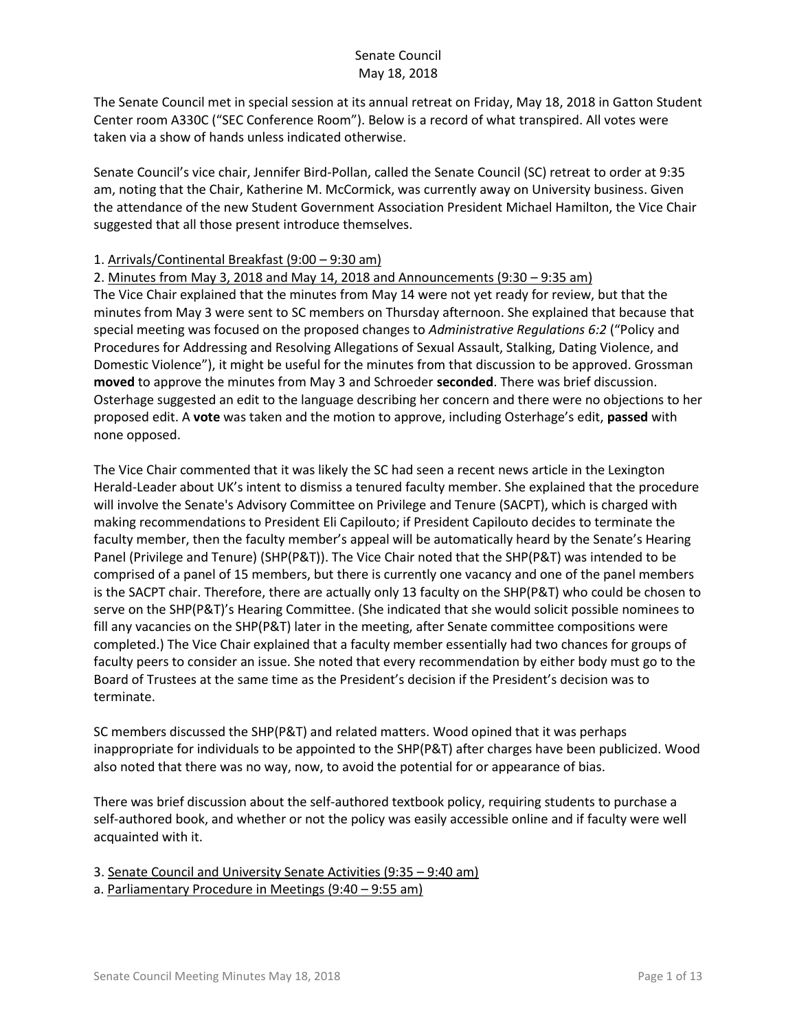The Senate Council met in special session at its annual retreat on Friday, May 18, 2018 in Gatton Student Center room A330C ("SEC Conference Room"). Below is a record of what transpired. All votes were taken via a show of hands unless indicated otherwise.

Senate Council's vice chair, Jennifer Bird-Pollan, called the Senate Council (SC) retreat to order at 9:35 am, noting that the Chair, Katherine M. McCormick, was currently away on University business. Given the attendance of the new Student Government Association President Michael Hamilton, the Vice Chair suggested that all those present introduce themselves.

## 1. Arrivals/Continental Breakfast (9:00 – 9:30 am)

2. Minutes from May 3, 2018 and May 14, 2018 and Announcements (9:30 – 9:35 am) The Vice Chair explained that the minutes from May 14 were not yet ready for review, but that the minutes from May 3 were sent to SC members on Thursday afternoon. She explained that because that special meeting was focused on the proposed changes to *Administrative Regulations 6:2* ("Policy and Procedures for Addressing and Resolving Allegations of Sexual Assault, Stalking, Dating Violence, and Domestic Violence"), it might be useful for the minutes from that discussion to be approved. Grossman **moved** to approve the minutes from May 3 and Schroeder **seconded**. There was brief discussion. Osterhage suggested an edit to the language describing her concern and there were no objections to her proposed edit. A **vote** was taken and the motion to approve, including Osterhage's edit, **passed** with none opposed.

The Vice Chair commented that it was likely the SC had seen a recent news article in the Lexington Herald-Leader about UK's intent to dismiss a tenured faculty member. She explained that the procedure will involve the Senate's Advisory Committee on Privilege and Tenure (SACPT), which is charged with making recommendations to President Eli Capilouto; if President Capilouto decides to terminate the faculty member, then the faculty member's appeal will be automatically heard by the Senate's Hearing Panel (Privilege and Tenure) (SHP(P&T)). The Vice Chair noted that the SHP(P&T) was intended to be comprised of a panel of 15 members, but there is currently one vacancy and one of the panel members is the SACPT chair. Therefore, there are actually only 13 faculty on the SHP(P&T) who could be chosen to serve on the SHP(P&T)'s Hearing Committee. (She indicated that she would solicit possible nominees to fill any vacancies on the SHP(P&T) later in the meeting, after Senate committee compositions were completed.) The Vice Chair explained that a faculty member essentially had two chances for groups of faculty peers to consider an issue. She noted that every recommendation by either body must go to the Board of Trustees at the same time as the President's decision if the President's decision was to terminate.

SC members discussed the SHP(P&T) and related matters. Wood opined that it was perhaps inappropriate for individuals to be appointed to the SHP(P&T) after charges have been publicized. Wood also noted that there was no way, now, to avoid the potential for or appearance of bias.

There was brief discussion about the self-authored textbook policy, requiring students to purchase a self-authored book, and whether or not the policy was easily accessible online and if faculty were well acquainted with it.

3. Senate Council and University Senate Activities (9:35 – 9:40 am)

a. Parliamentary Procedure in Meetings (9:40 – 9:55 am)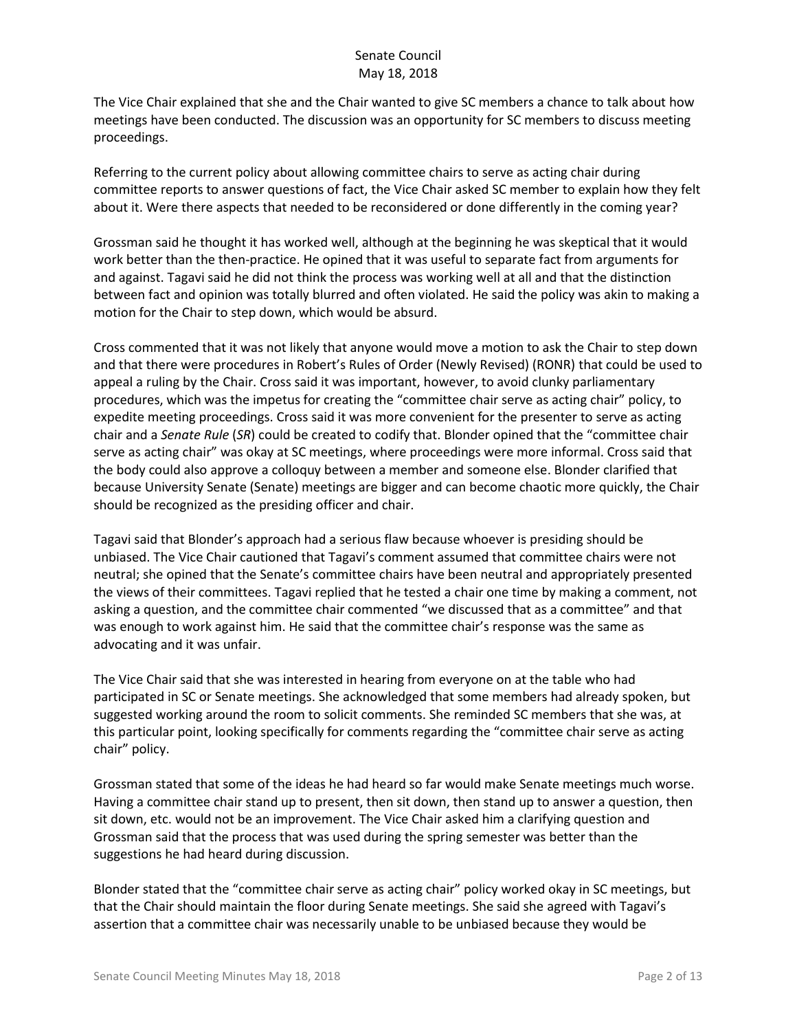The Vice Chair explained that she and the Chair wanted to give SC members a chance to talk about how meetings have been conducted. The discussion was an opportunity for SC members to discuss meeting proceedings.

Referring to the current policy about allowing committee chairs to serve as acting chair during committee reports to answer questions of fact, the Vice Chair asked SC member to explain how they felt about it. Were there aspects that needed to be reconsidered or done differently in the coming year?

Grossman said he thought it has worked well, although at the beginning he was skeptical that it would work better than the then-practice. He opined that it was useful to separate fact from arguments for and against. Tagavi said he did not think the process was working well at all and that the distinction between fact and opinion was totally blurred and often violated. He said the policy was akin to making a motion for the Chair to step down, which would be absurd.

Cross commented that it was not likely that anyone would move a motion to ask the Chair to step down and that there were procedures in Robert's Rules of Order (Newly Revised) (RONR) that could be used to appeal a ruling by the Chair. Cross said it was important, however, to avoid clunky parliamentary procedures, which was the impetus for creating the "committee chair serve as acting chair" policy, to expedite meeting proceedings. Cross said it was more convenient for the presenter to serve as acting chair and a *Senate Rule* (*SR*) could be created to codify that. Blonder opined that the "committee chair serve as acting chair" was okay at SC meetings, where proceedings were more informal. Cross said that the body could also approve a colloquy between a member and someone else. Blonder clarified that because University Senate (Senate) meetings are bigger and can become chaotic more quickly, the Chair should be recognized as the presiding officer and chair.

Tagavi said that Blonder's approach had a serious flaw because whoever is presiding should be unbiased. The Vice Chair cautioned that Tagavi's comment assumed that committee chairs were not neutral; she opined that the Senate's committee chairs have been neutral and appropriately presented the views of their committees. Tagavi replied that he tested a chair one time by making a comment, not asking a question, and the committee chair commented "we discussed that as a committee" and that was enough to work against him. He said that the committee chair's response was the same as advocating and it was unfair.

The Vice Chair said that she was interested in hearing from everyone on at the table who had participated in SC or Senate meetings. She acknowledged that some members had already spoken, but suggested working around the room to solicit comments. She reminded SC members that she was, at this particular point, looking specifically for comments regarding the "committee chair serve as acting chair" policy.

Grossman stated that some of the ideas he had heard so far would make Senate meetings much worse. Having a committee chair stand up to present, then sit down, then stand up to answer a question, then sit down, etc. would not be an improvement. The Vice Chair asked him a clarifying question and Grossman said that the process that was used during the spring semester was better than the suggestions he had heard during discussion.

Blonder stated that the "committee chair serve as acting chair" policy worked okay in SC meetings, but that the Chair should maintain the floor during Senate meetings. She said she agreed with Tagavi's assertion that a committee chair was necessarily unable to be unbiased because they would be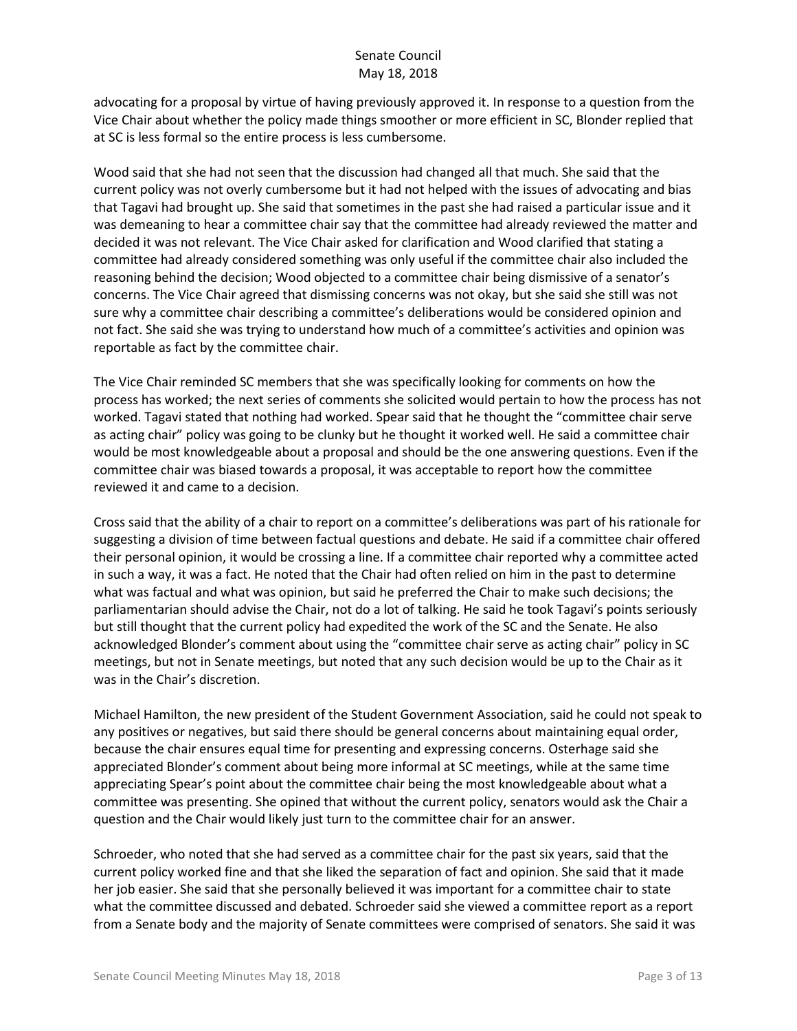advocating for a proposal by virtue of having previously approved it. In response to a question from the Vice Chair about whether the policy made things smoother or more efficient in SC, Blonder replied that at SC is less formal so the entire process is less cumbersome.

Wood said that she had not seen that the discussion had changed all that much. She said that the current policy was not overly cumbersome but it had not helped with the issues of advocating and bias that Tagavi had brought up. She said that sometimes in the past she had raised a particular issue and it was demeaning to hear a committee chair say that the committee had already reviewed the matter and decided it was not relevant. The Vice Chair asked for clarification and Wood clarified that stating a committee had already considered something was only useful if the committee chair also included the reasoning behind the decision; Wood objected to a committee chair being dismissive of a senator's concerns. The Vice Chair agreed that dismissing concerns was not okay, but she said she still was not sure why a committee chair describing a committee's deliberations would be considered opinion and not fact. She said she was trying to understand how much of a committee's activities and opinion was reportable as fact by the committee chair.

The Vice Chair reminded SC members that she was specifically looking for comments on how the process has worked; the next series of comments she solicited would pertain to how the process has not worked. Tagavi stated that nothing had worked. Spear said that he thought the "committee chair serve as acting chair" policy was going to be clunky but he thought it worked well. He said a committee chair would be most knowledgeable about a proposal and should be the one answering questions. Even if the committee chair was biased towards a proposal, it was acceptable to report how the committee reviewed it and came to a decision.

Cross said that the ability of a chair to report on a committee's deliberations was part of his rationale for suggesting a division of time between factual questions and debate. He said if a committee chair offered their personal opinion, it would be crossing a line. If a committee chair reported why a committee acted in such a way, it was a fact. He noted that the Chair had often relied on him in the past to determine what was factual and what was opinion, but said he preferred the Chair to make such decisions; the parliamentarian should advise the Chair, not do a lot of talking. He said he took Tagavi's points seriously but still thought that the current policy had expedited the work of the SC and the Senate. He also acknowledged Blonder's comment about using the "committee chair serve as acting chair" policy in SC meetings, but not in Senate meetings, but noted that any such decision would be up to the Chair as it was in the Chair's discretion.

Michael Hamilton, the new president of the Student Government Association, said he could not speak to any positives or negatives, but said there should be general concerns about maintaining equal order, because the chair ensures equal time for presenting and expressing concerns. Osterhage said she appreciated Blonder's comment about being more informal at SC meetings, while at the same time appreciating Spear's point about the committee chair being the most knowledgeable about what a committee was presenting. She opined that without the current policy, senators would ask the Chair a question and the Chair would likely just turn to the committee chair for an answer.

Schroeder, who noted that she had served as a committee chair for the past six years, said that the current policy worked fine and that she liked the separation of fact and opinion. She said that it made her job easier. She said that she personally believed it was important for a committee chair to state what the committee discussed and debated. Schroeder said she viewed a committee report as a report from a Senate body and the majority of Senate committees were comprised of senators. She said it was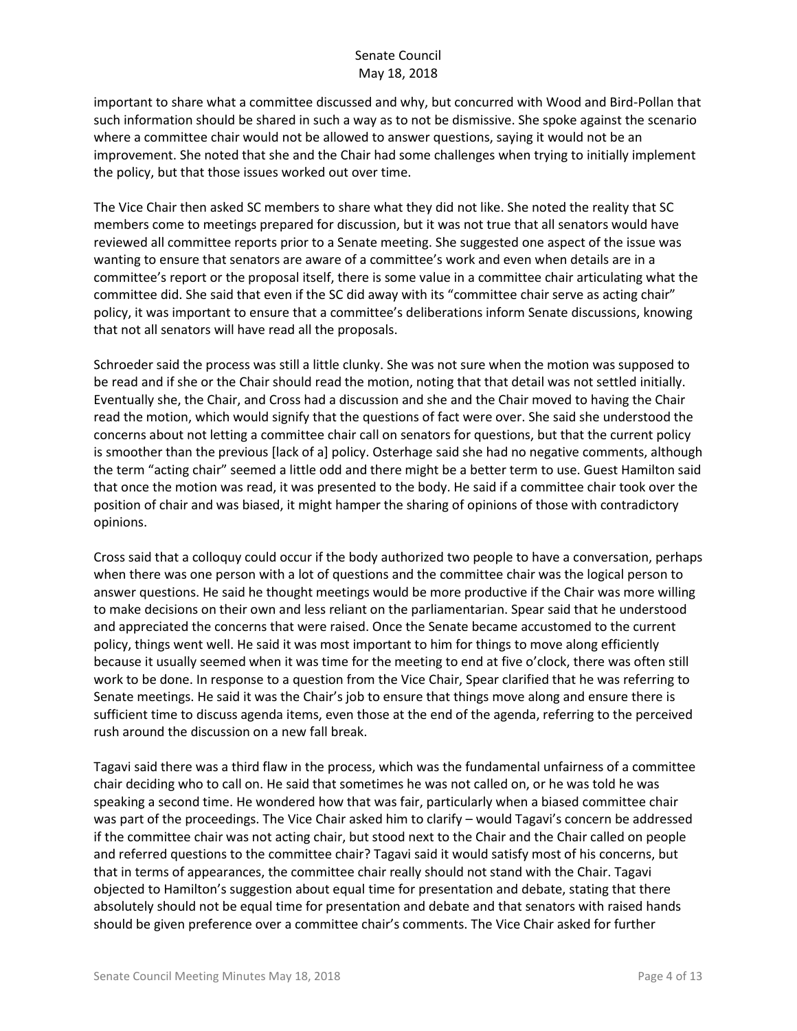important to share what a committee discussed and why, but concurred with Wood and Bird-Pollan that such information should be shared in such a way as to not be dismissive. She spoke against the scenario where a committee chair would not be allowed to answer questions, saying it would not be an improvement. She noted that she and the Chair had some challenges when trying to initially implement the policy, but that those issues worked out over time.

The Vice Chair then asked SC members to share what they did not like. She noted the reality that SC members come to meetings prepared for discussion, but it was not true that all senators would have reviewed all committee reports prior to a Senate meeting. She suggested one aspect of the issue was wanting to ensure that senators are aware of a committee's work and even when details are in a committee's report or the proposal itself, there is some value in a committee chair articulating what the committee did. She said that even if the SC did away with its "committee chair serve as acting chair" policy, it was important to ensure that a committee's deliberations inform Senate discussions, knowing that not all senators will have read all the proposals.

Schroeder said the process was still a little clunky. She was not sure when the motion was supposed to be read and if she or the Chair should read the motion, noting that that detail was not settled initially. Eventually she, the Chair, and Cross had a discussion and she and the Chair moved to having the Chair read the motion, which would signify that the questions of fact were over. She said she understood the concerns about not letting a committee chair call on senators for questions, but that the current policy is smoother than the previous [lack of a] policy. Osterhage said she had no negative comments, although the term "acting chair" seemed a little odd and there might be a better term to use. Guest Hamilton said that once the motion was read, it was presented to the body. He said if a committee chair took over the position of chair and was biased, it might hamper the sharing of opinions of those with contradictory opinions.

Cross said that a colloquy could occur if the body authorized two people to have a conversation, perhaps when there was one person with a lot of questions and the committee chair was the logical person to answer questions. He said he thought meetings would be more productive if the Chair was more willing to make decisions on their own and less reliant on the parliamentarian. Spear said that he understood and appreciated the concerns that were raised. Once the Senate became accustomed to the current policy, things went well. He said it was most important to him for things to move along efficiently because it usually seemed when it was time for the meeting to end at five o'clock, there was often still work to be done. In response to a question from the Vice Chair, Spear clarified that he was referring to Senate meetings. He said it was the Chair's job to ensure that things move along and ensure there is sufficient time to discuss agenda items, even those at the end of the agenda, referring to the perceived rush around the discussion on a new fall break.

Tagavi said there was a third flaw in the process, which was the fundamental unfairness of a committee chair deciding who to call on. He said that sometimes he was not called on, or he was told he was speaking a second time. He wondered how that was fair, particularly when a biased committee chair was part of the proceedings. The Vice Chair asked him to clarify – would Tagavi's concern be addressed if the committee chair was not acting chair, but stood next to the Chair and the Chair called on people and referred questions to the committee chair? Tagavi said it would satisfy most of his concerns, but that in terms of appearances, the committee chair really should not stand with the Chair. Tagavi objected to Hamilton's suggestion about equal time for presentation and debate, stating that there absolutely should not be equal time for presentation and debate and that senators with raised hands should be given preference over a committee chair's comments. The Vice Chair asked for further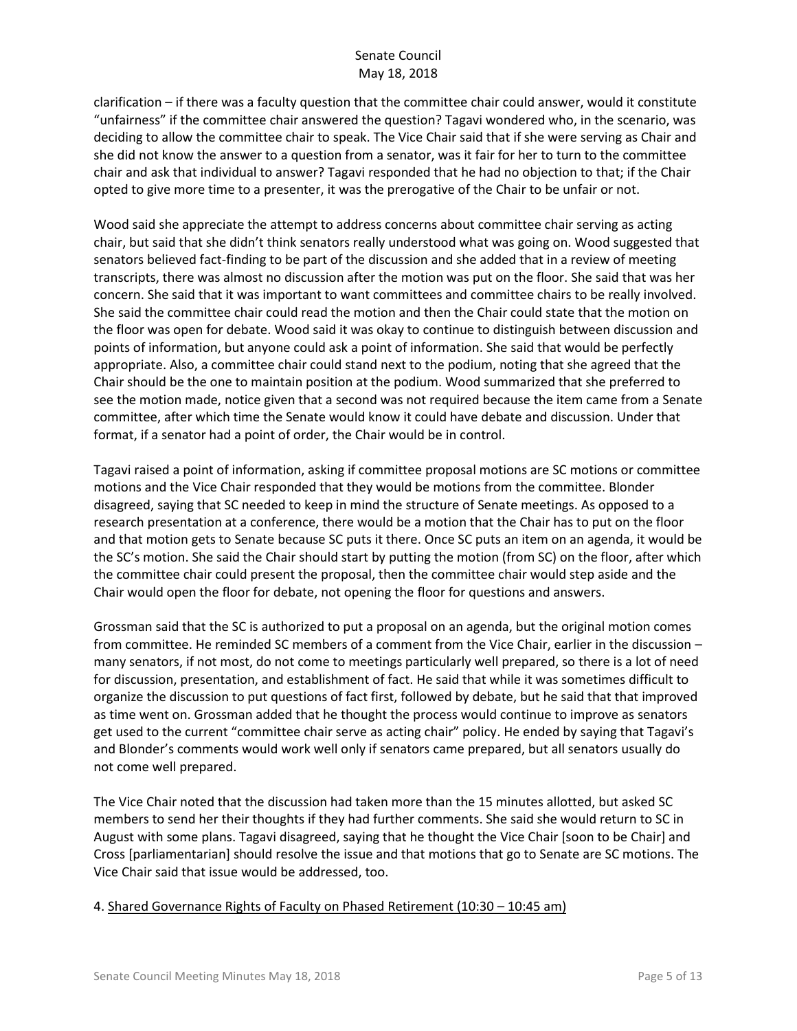clarification – if there was a faculty question that the committee chair could answer, would it constitute "unfairness" if the committee chair answered the question? Tagavi wondered who, in the scenario, was deciding to allow the committee chair to speak. The Vice Chair said that if she were serving as Chair and she did not know the answer to a question from a senator, was it fair for her to turn to the committee chair and ask that individual to answer? Tagavi responded that he had no objection to that; if the Chair opted to give more time to a presenter, it was the prerogative of the Chair to be unfair or not.

Wood said she appreciate the attempt to address concerns about committee chair serving as acting chair, but said that she didn't think senators really understood what was going on. Wood suggested that senators believed fact-finding to be part of the discussion and she added that in a review of meeting transcripts, there was almost no discussion after the motion was put on the floor. She said that was her concern. She said that it was important to want committees and committee chairs to be really involved. She said the committee chair could read the motion and then the Chair could state that the motion on the floor was open for debate. Wood said it was okay to continue to distinguish between discussion and points of information, but anyone could ask a point of information. She said that would be perfectly appropriate. Also, a committee chair could stand next to the podium, noting that she agreed that the Chair should be the one to maintain position at the podium. Wood summarized that she preferred to see the motion made, notice given that a second was not required because the item came from a Senate committee, after which time the Senate would know it could have debate and discussion. Under that format, if a senator had a point of order, the Chair would be in control.

Tagavi raised a point of information, asking if committee proposal motions are SC motions or committee motions and the Vice Chair responded that they would be motions from the committee. Blonder disagreed, saying that SC needed to keep in mind the structure of Senate meetings. As opposed to a research presentation at a conference, there would be a motion that the Chair has to put on the floor and that motion gets to Senate because SC puts it there. Once SC puts an item on an agenda, it would be the SC's motion. She said the Chair should start by putting the motion (from SC) on the floor, after which the committee chair could present the proposal, then the committee chair would step aside and the Chair would open the floor for debate, not opening the floor for questions and answers.

Grossman said that the SC is authorized to put a proposal on an agenda, but the original motion comes from committee. He reminded SC members of a comment from the Vice Chair, earlier in the discussion – many senators, if not most, do not come to meetings particularly well prepared, so there is a lot of need for discussion, presentation, and establishment of fact. He said that while it was sometimes difficult to organize the discussion to put questions of fact first, followed by debate, but he said that that improved as time went on. Grossman added that he thought the process would continue to improve as senators get used to the current "committee chair serve as acting chair" policy. He ended by saying that Tagavi's and Blonder's comments would work well only if senators came prepared, but all senators usually do not come well prepared.

The Vice Chair noted that the discussion had taken more than the 15 minutes allotted, but asked SC members to send her their thoughts if they had further comments. She said she would return to SC in August with some plans. Tagavi disagreed, saying that he thought the Vice Chair [soon to be Chair] and Cross [parliamentarian] should resolve the issue and that motions that go to Senate are SC motions. The Vice Chair said that issue would be addressed, too.

## 4. Shared Governance Rights of Faculty on Phased Retirement (10:30 – 10:45 am)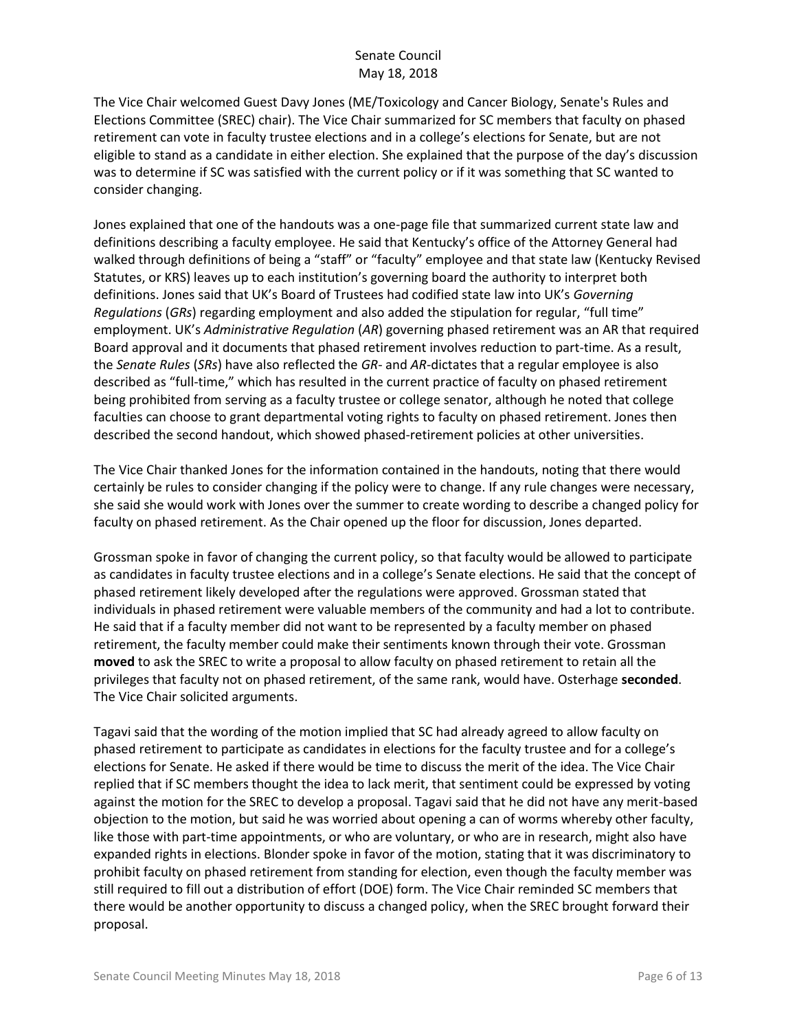The Vice Chair welcomed Guest Davy Jones (ME/Toxicology and Cancer Biology, Senate's Rules and Elections Committee (SREC) chair). The Vice Chair summarized for SC members that faculty on phased retirement can vote in faculty trustee elections and in a college's elections for Senate, but are not eligible to stand as a candidate in either election. She explained that the purpose of the day's discussion was to determine if SC was satisfied with the current policy or if it was something that SC wanted to consider changing.

Jones explained that one of the handouts was a one-page file that summarized current state law and definitions describing a faculty employee. He said that Kentucky's office of the Attorney General had walked through definitions of being a "staff" or "faculty" employee and that state law (Kentucky Revised Statutes, or KRS) leaves up to each institution's governing board the authority to interpret both definitions. Jones said that UK's Board of Trustees had codified state law into UK's *Governing Regulations* (*GRs*) regarding employment and also added the stipulation for regular, "full time" employment. UK's *Administrative Regulation* (*AR*) governing phased retirement was an AR that required Board approval and it documents that phased retirement involves reduction to part-time. As a result, the *Senate Rules* (*SRs*) have also reflected the *GR*- and *AR*-dictates that a regular employee is also described as "full-time," which has resulted in the current practice of faculty on phased retirement being prohibited from serving as a faculty trustee or college senator, although he noted that college faculties can choose to grant departmental voting rights to faculty on phased retirement. Jones then described the second handout, which showed phased-retirement policies at other universities.

The Vice Chair thanked Jones for the information contained in the handouts, noting that there would certainly be rules to consider changing if the policy were to change. If any rule changes were necessary, she said she would work with Jones over the summer to create wording to describe a changed policy for faculty on phased retirement. As the Chair opened up the floor for discussion, Jones departed.

Grossman spoke in favor of changing the current policy, so that faculty would be allowed to participate as candidates in faculty trustee elections and in a college's Senate elections. He said that the concept of phased retirement likely developed after the regulations were approved. Grossman stated that individuals in phased retirement were valuable members of the community and had a lot to contribute. He said that if a faculty member did not want to be represented by a faculty member on phased retirement, the faculty member could make their sentiments known through their vote. Grossman **moved** to ask the SREC to write a proposal to allow faculty on phased retirement to retain all the privileges that faculty not on phased retirement, of the same rank, would have. Osterhage **seconded**. The Vice Chair solicited arguments.

Tagavi said that the wording of the motion implied that SC had already agreed to allow faculty on phased retirement to participate as candidates in elections for the faculty trustee and for a college's elections for Senate. He asked if there would be time to discuss the merit of the idea. The Vice Chair replied that if SC members thought the idea to lack merit, that sentiment could be expressed by voting against the motion for the SREC to develop a proposal. Tagavi said that he did not have any merit-based objection to the motion, but said he was worried about opening a can of worms whereby other faculty, like those with part-time appointments, or who are voluntary, or who are in research, might also have expanded rights in elections. Blonder spoke in favor of the motion, stating that it was discriminatory to prohibit faculty on phased retirement from standing for election, even though the faculty member was still required to fill out a distribution of effort (DOE) form. The Vice Chair reminded SC members that there would be another opportunity to discuss a changed policy, when the SREC brought forward their proposal.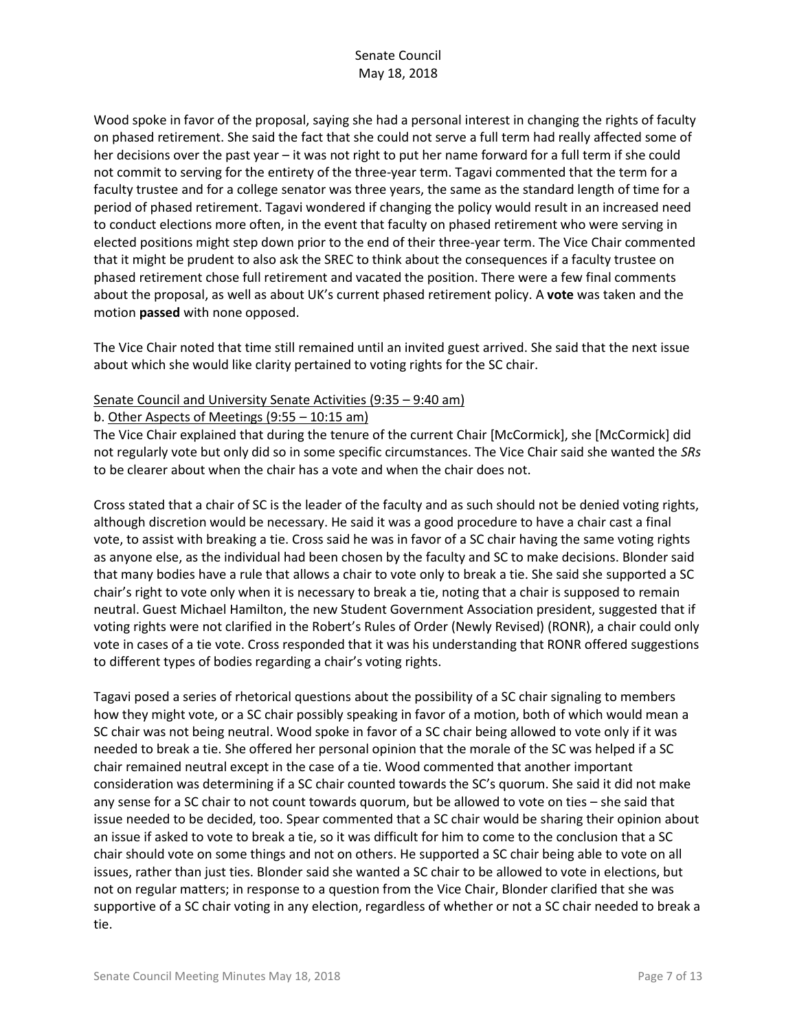Wood spoke in favor of the proposal, saying she had a personal interest in changing the rights of faculty on phased retirement. She said the fact that she could not serve a full term had really affected some of her decisions over the past year – it was not right to put her name forward for a full term if she could not commit to serving for the entirety of the three-year term. Tagavi commented that the term for a faculty trustee and for a college senator was three years, the same as the standard length of time for a period of phased retirement. Tagavi wondered if changing the policy would result in an increased need to conduct elections more often, in the event that faculty on phased retirement who were serving in elected positions might step down prior to the end of their three-year term. The Vice Chair commented that it might be prudent to also ask the SREC to think about the consequences if a faculty trustee on phased retirement chose full retirement and vacated the position. There were a few final comments about the proposal, as well as about UK's current phased retirement policy. A **vote** was taken and the motion **passed** with none opposed.

The Vice Chair noted that time still remained until an invited guest arrived. She said that the next issue about which she would like clarity pertained to voting rights for the SC chair.

#### Senate Council and University Senate Activities (9:35 – 9:40 am)

#### b. Other Aspects of Meetings (9:55 – 10:15 am)

The Vice Chair explained that during the tenure of the current Chair [McCormick], she [McCormick] did not regularly vote but only did so in some specific circumstances. The Vice Chair said she wanted the *SRs* to be clearer about when the chair has a vote and when the chair does not.

Cross stated that a chair of SC is the leader of the faculty and as such should not be denied voting rights, although discretion would be necessary. He said it was a good procedure to have a chair cast a final vote, to assist with breaking a tie. Cross said he was in favor of a SC chair having the same voting rights as anyone else, as the individual had been chosen by the faculty and SC to make decisions. Blonder said that many bodies have a rule that allows a chair to vote only to break a tie. She said she supported a SC chair's right to vote only when it is necessary to break a tie, noting that a chair is supposed to remain neutral. Guest Michael Hamilton, the new Student Government Association president, suggested that if voting rights were not clarified in the Robert's Rules of Order (Newly Revised) (RONR), a chair could only vote in cases of a tie vote. Cross responded that it was his understanding that RONR offered suggestions to different types of bodies regarding a chair's voting rights.

Tagavi posed a series of rhetorical questions about the possibility of a SC chair signaling to members how they might vote, or a SC chair possibly speaking in favor of a motion, both of which would mean a SC chair was not being neutral. Wood spoke in favor of a SC chair being allowed to vote only if it was needed to break a tie. She offered her personal opinion that the morale of the SC was helped if a SC chair remained neutral except in the case of a tie. Wood commented that another important consideration was determining if a SC chair counted towards the SC's quorum. She said it did not make any sense for a SC chair to not count towards quorum, but be allowed to vote on ties – she said that issue needed to be decided, too. Spear commented that a SC chair would be sharing their opinion about an issue if asked to vote to break a tie, so it was difficult for him to come to the conclusion that a SC chair should vote on some things and not on others. He supported a SC chair being able to vote on all issues, rather than just ties. Blonder said she wanted a SC chair to be allowed to vote in elections, but not on regular matters; in response to a question from the Vice Chair, Blonder clarified that she was supportive of a SC chair voting in any election, regardless of whether or not a SC chair needed to break a tie.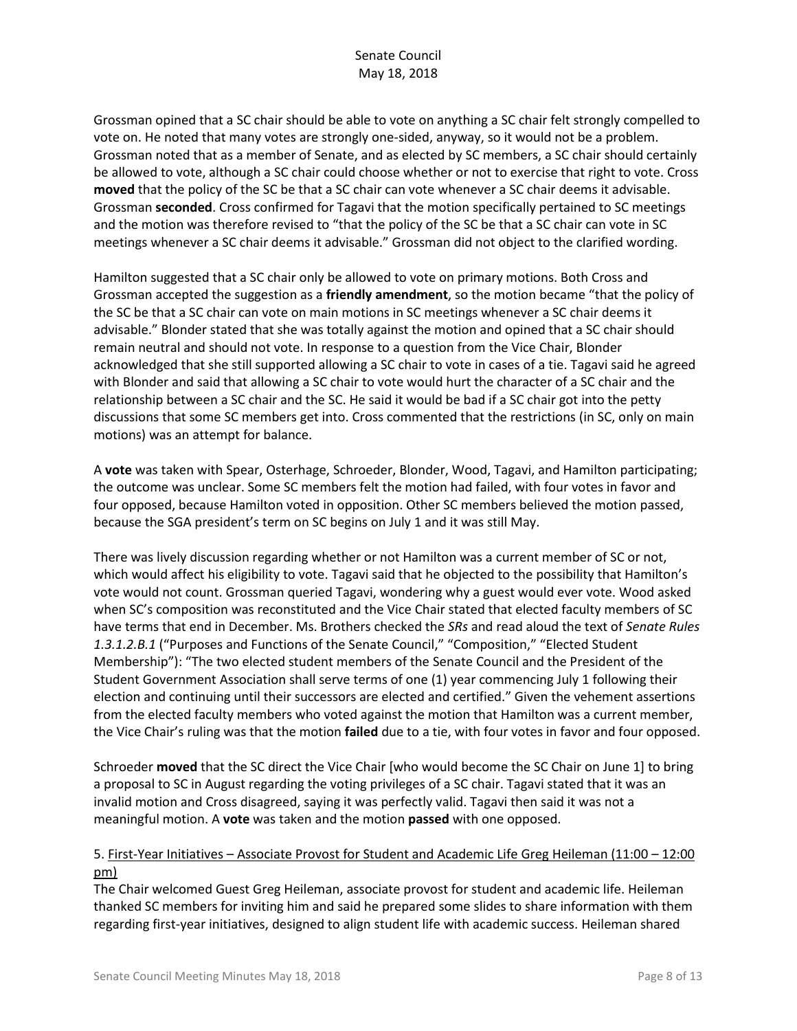Grossman opined that a SC chair should be able to vote on anything a SC chair felt strongly compelled to vote on. He noted that many votes are strongly one-sided, anyway, so it would not be a problem. Grossman noted that as a member of Senate, and as elected by SC members, a SC chair should certainly be allowed to vote, although a SC chair could choose whether or not to exercise that right to vote. Cross **moved** that the policy of the SC be that a SC chair can vote whenever a SC chair deems it advisable. Grossman **seconded**. Cross confirmed for Tagavi that the motion specifically pertained to SC meetings and the motion was therefore revised to "that the policy of the SC be that a SC chair can vote in SC meetings whenever a SC chair deems it advisable." Grossman did not object to the clarified wording.

Hamilton suggested that a SC chair only be allowed to vote on primary motions. Both Cross and Grossman accepted the suggestion as a **friendly amendment**, so the motion became "that the policy of the SC be that a SC chair can vote on main motions in SC meetings whenever a SC chair deems it advisable." Blonder stated that she was totally against the motion and opined that a SC chair should remain neutral and should not vote. In response to a question from the Vice Chair, Blonder acknowledged that she still supported allowing a SC chair to vote in cases of a tie. Tagavi said he agreed with Blonder and said that allowing a SC chair to vote would hurt the character of a SC chair and the relationship between a SC chair and the SC. He said it would be bad if a SC chair got into the petty discussions that some SC members get into. Cross commented that the restrictions (in SC, only on main motions) was an attempt for balance.

A **vote** was taken with Spear, Osterhage, Schroeder, Blonder, Wood, Tagavi, and Hamilton participating; the outcome was unclear. Some SC members felt the motion had failed, with four votes in favor and four opposed, because Hamilton voted in opposition. Other SC members believed the motion passed, because the SGA president's term on SC begins on July 1 and it was still May.

There was lively discussion regarding whether or not Hamilton was a current member of SC or not, which would affect his eligibility to vote. Tagavi said that he objected to the possibility that Hamilton's vote would not count. Grossman queried Tagavi, wondering why a guest would ever vote. Wood asked when SC's composition was reconstituted and the Vice Chair stated that elected faculty members of SC have terms that end in December. Ms. Brothers checked the *SRs* and read aloud the text of *Senate Rules 1.3.1.2.B.1* ("Purposes and Functions of the Senate Council," "Composition," "Elected Student Membership"): "The two elected student members of the Senate Council and the President of the Student Government Association shall serve terms of one (1) year commencing July 1 following their election and continuing until their successors are elected and certified." Given the vehement assertions from the elected faculty members who voted against the motion that Hamilton was a current member, the Vice Chair's ruling was that the motion **failed** due to a tie, with four votes in favor and four opposed.

Schroeder **moved** that the SC direct the Vice Chair [who would become the SC Chair on June 1] to bring a proposal to SC in August regarding the voting privileges of a SC chair. Tagavi stated that it was an invalid motion and Cross disagreed, saying it was perfectly valid. Tagavi then said it was not a meaningful motion. A **vote** was taken and the motion **passed** with one opposed.

## 5. First-Year Initiatives – Associate Provost for Student and Academic Life Greg Heileman (11:00 – 12:00 pm)

The Chair welcomed Guest Greg Heileman, associate provost for student and academic life. Heileman thanked SC members for inviting him and said he prepared some slides to share information with them regarding first-year initiatives, designed to align student life with academic success. Heileman shared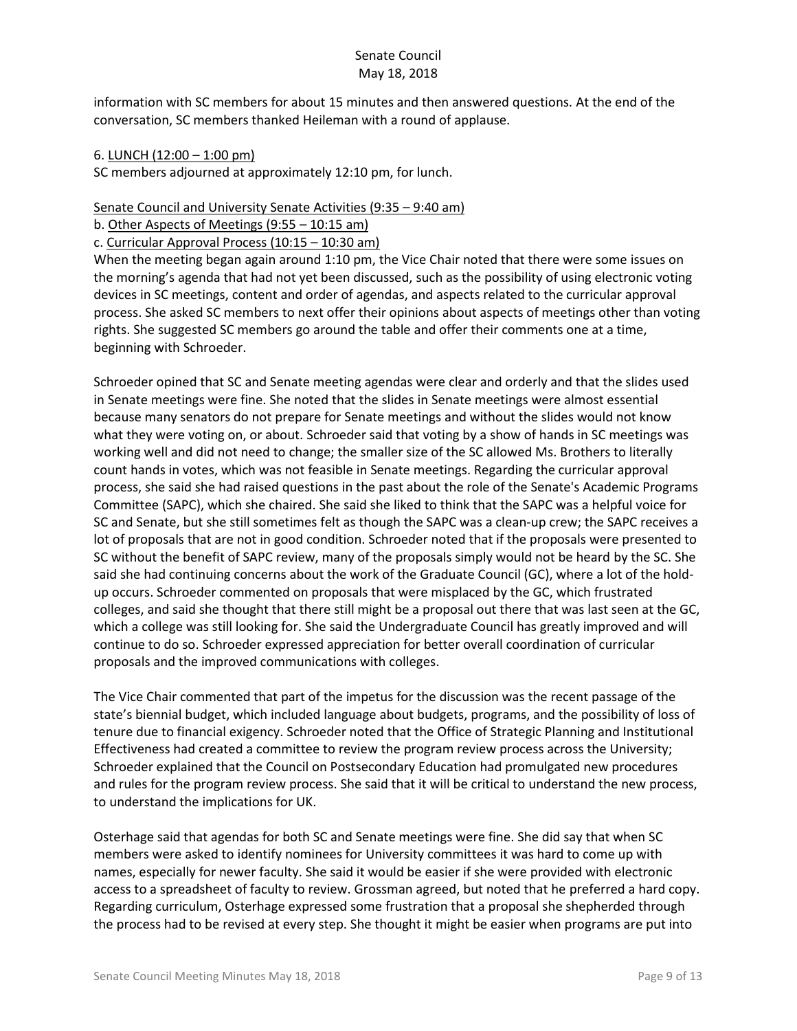information with SC members for about 15 minutes and then answered questions. At the end of the conversation, SC members thanked Heileman with a round of applause.

#### 6. LUNCH (12:00 – 1:00 pm)

SC members adjourned at approximately 12:10 pm, for lunch.

#### Senate Council and University Senate Activities (9:35 – 9:40 am)

b. Other Aspects of Meetings (9:55 – 10:15 am)

c. Curricular Approval Process (10:15 – 10:30 am)

When the meeting began again around 1:10 pm, the Vice Chair noted that there were some issues on the morning's agenda that had not yet been discussed, such as the possibility of using electronic voting devices in SC meetings, content and order of agendas, and aspects related to the curricular approval process. She asked SC members to next offer their opinions about aspects of meetings other than voting rights. She suggested SC members go around the table and offer their comments one at a time, beginning with Schroeder.

Schroeder opined that SC and Senate meeting agendas were clear and orderly and that the slides used in Senate meetings were fine. She noted that the slides in Senate meetings were almost essential because many senators do not prepare for Senate meetings and without the slides would not know what they were voting on, or about. Schroeder said that voting by a show of hands in SC meetings was working well and did not need to change; the smaller size of the SC allowed Ms. Brothers to literally count hands in votes, which was not feasible in Senate meetings. Regarding the curricular approval process, she said she had raised questions in the past about the role of the Senate's Academic Programs Committee (SAPC), which she chaired. She said she liked to think that the SAPC was a helpful voice for SC and Senate, but she still sometimes felt as though the SAPC was a clean-up crew; the SAPC receives a lot of proposals that are not in good condition. Schroeder noted that if the proposals were presented to SC without the benefit of SAPC review, many of the proposals simply would not be heard by the SC. She said she had continuing concerns about the work of the Graduate Council (GC), where a lot of the holdup occurs. Schroeder commented on proposals that were misplaced by the GC, which frustrated colleges, and said she thought that there still might be a proposal out there that was last seen at the GC, which a college was still looking for. She said the Undergraduate Council has greatly improved and will continue to do so. Schroeder expressed appreciation for better overall coordination of curricular proposals and the improved communications with colleges.

The Vice Chair commented that part of the impetus for the discussion was the recent passage of the state's biennial budget, which included language about budgets, programs, and the possibility of loss of tenure due to financial exigency. Schroeder noted that the Office of Strategic Planning and Institutional Effectiveness had created a committee to review the program review process across the University; Schroeder explained that the Council on Postsecondary Education had promulgated new procedures and rules for the program review process. She said that it will be critical to understand the new process, to understand the implications for UK.

Osterhage said that agendas for both SC and Senate meetings were fine. She did say that when SC members were asked to identify nominees for University committees it was hard to come up with names, especially for newer faculty. She said it would be easier if she were provided with electronic access to a spreadsheet of faculty to review. Grossman agreed, but noted that he preferred a hard copy. Regarding curriculum, Osterhage expressed some frustration that a proposal she shepherded through the process had to be revised at every step. She thought it might be easier when programs are put into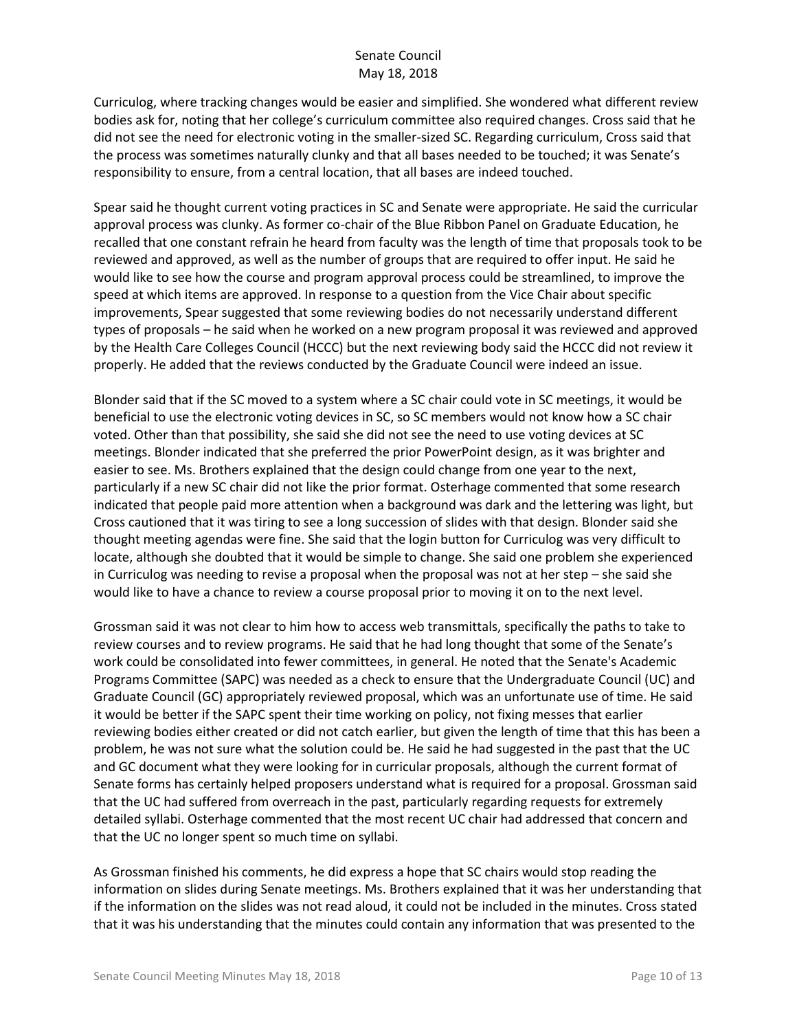Curriculog, where tracking changes would be easier and simplified. She wondered what different review bodies ask for, noting that her college's curriculum committee also required changes. Cross said that he did not see the need for electronic voting in the smaller-sized SC. Regarding curriculum, Cross said that the process was sometimes naturally clunky and that all bases needed to be touched; it was Senate's responsibility to ensure, from a central location, that all bases are indeed touched.

Spear said he thought current voting practices in SC and Senate were appropriate. He said the curricular approval process was clunky. As former co-chair of the Blue Ribbon Panel on Graduate Education, he recalled that one constant refrain he heard from faculty was the length of time that proposals took to be reviewed and approved, as well as the number of groups that are required to offer input. He said he would like to see how the course and program approval process could be streamlined, to improve the speed at which items are approved. In response to a question from the Vice Chair about specific improvements, Spear suggested that some reviewing bodies do not necessarily understand different types of proposals – he said when he worked on a new program proposal it was reviewed and approved by the Health Care Colleges Council (HCCC) but the next reviewing body said the HCCC did not review it properly. He added that the reviews conducted by the Graduate Council were indeed an issue.

Blonder said that if the SC moved to a system where a SC chair could vote in SC meetings, it would be beneficial to use the electronic voting devices in SC, so SC members would not know how a SC chair voted. Other than that possibility, she said she did not see the need to use voting devices at SC meetings. Blonder indicated that she preferred the prior PowerPoint design, as it was brighter and easier to see. Ms. Brothers explained that the design could change from one year to the next, particularly if a new SC chair did not like the prior format. Osterhage commented that some research indicated that people paid more attention when a background was dark and the lettering was light, but Cross cautioned that it was tiring to see a long succession of slides with that design. Blonder said she thought meeting agendas were fine. She said that the login button for Curriculog was very difficult to locate, although she doubted that it would be simple to change. She said one problem she experienced in Curriculog was needing to revise a proposal when the proposal was not at her step – she said she would like to have a chance to review a course proposal prior to moving it on to the next level.

Grossman said it was not clear to him how to access web transmittals, specifically the paths to take to review courses and to review programs. He said that he had long thought that some of the Senate's work could be consolidated into fewer committees, in general. He noted that the Senate's Academic Programs Committee (SAPC) was needed as a check to ensure that the Undergraduate Council (UC) and Graduate Council (GC) appropriately reviewed proposal, which was an unfortunate use of time. He said it would be better if the SAPC spent their time working on policy, not fixing messes that earlier reviewing bodies either created or did not catch earlier, but given the length of time that this has been a problem, he was not sure what the solution could be. He said he had suggested in the past that the UC and GC document what they were looking for in curricular proposals, although the current format of Senate forms has certainly helped proposers understand what is required for a proposal. Grossman said that the UC had suffered from overreach in the past, particularly regarding requests for extremely detailed syllabi. Osterhage commented that the most recent UC chair had addressed that concern and that the UC no longer spent so much time on syllabi.

As Grossman finished his comments, he did express a hope that SC chairs would stop reading the information on slides during Senate meetings. Ms. Brothers explained that it was her understanding that if the information on the slides was not read aloud, it could not be included in the minutes. Cross stated that it was his understanding that the minutes could contain any information that was presented to the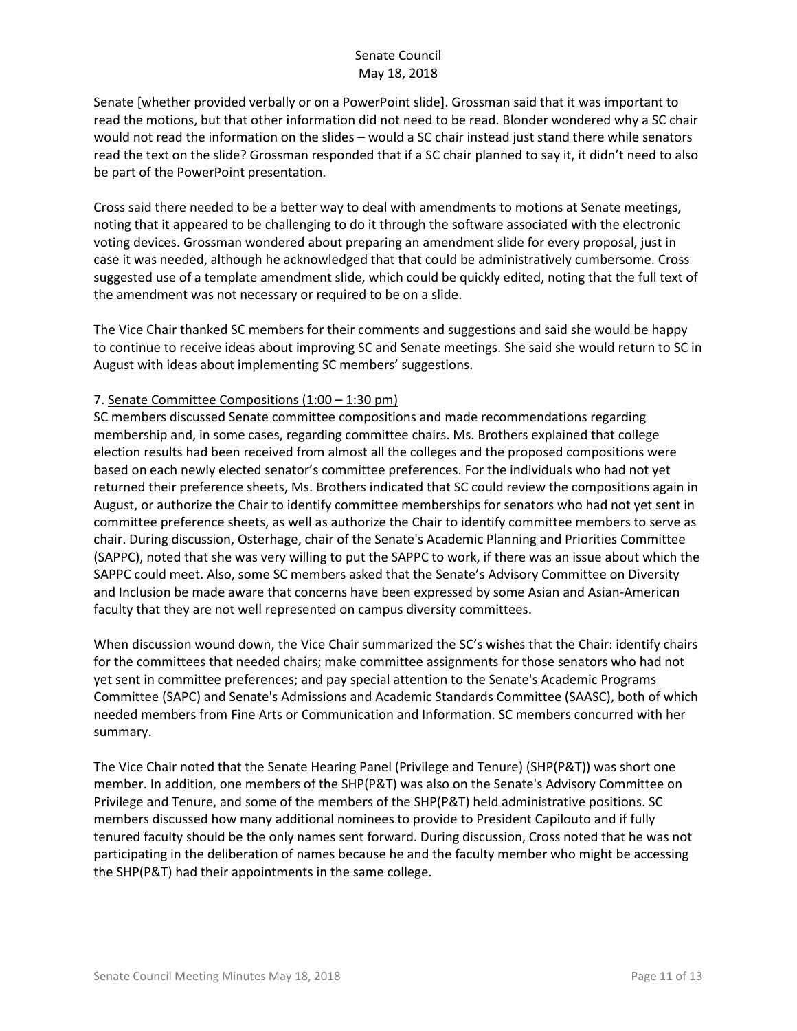Senate [whether provided verbally or on a PowerPoint slide]. Grossman said that it was important to read the motions, but that other information did not need to be read. Blonder wondered why a SC chair would not read the information on the slides – would a SC chair instead just stand there while senators read the text on the slide? Grossman responded that if a SC chair planned to say it, it didn't need to also be part of the PowerPoint presentation.

Cross said there needed to be a better way to deal with amendments to motions at Senate meetings, noting that it appeared to be challenging to do it through the software associated with the electronic voting devices. Grossman wondered about preparing an amendment slide for every proposal, just in case it was needed, although he acknowledged that that could be administratively cumbersome. Cross suggested use of a template amendment slide, which could be quickly edited, noting that the full text of the amendment was not necessary or required to be on a slide.

The Vice Chair thanked SC members for their comments and suggestions and said she would be happy to continue to receive ideas about improving SC and Senate meetings. She said she would return to SC in August with ideas about implementing SC members' suggestions.

## 7. Senate Committee Compositions (1:00 – 1:30 pm)

SC members discussed Senate committee compositions and made recommendations regarding membership and, in some cases, regarding committee chairs. Ms. Brothers explained that college election results had been received from almost all the colleges and the proposed compositions were based on each newly elected senator's committee preferences. For the individuals who had not yet returned their preference sheets, Ms. Brothers indicated that SC could review the compositions again in August, or authorize the Chair to identify committee memberships for senators who had not yet sent in committee preference sheets, as well as authorize the Chair to identify committee members to serve as chair. During discussion, Osterhage, chair of the Senate's Academic Planning and Priorities Committee (SAPPC), noted that she was very willing to put the SAPPC to work, if there was an issue about which the SAPPC could meet. Also, some SC members asked that the Senate's Advisory Committee on Diversity and Inclusion be made aware that concerns have been expressed by some Asian and Asian-American faculty that they are not well represented on campus diversity committees.

When discussion wound down, the Vice Chair summarized the SC's wishes that the Chair: identify chairs for the committees that needed chairs; make committee assignments for those senators who had not yet sent in committee preferences; and pay special attention to the Senate's Academic Programs Committee (SAPC) and Senate's Admissions and Academic Standards Committee (SAASC), both of which needed members from Fine Arts or Communication and Information. SC members concurred with her summary.

The Vice Chair noted that the Senate Hearing Panel (Privilege and Tenure) (SHP(P&T)) was short one member. In addition, one members of the SHP(P&T) was also on the Senate's Advisory Committee on Privilege and Tenure, and some of the members of the SHP(P&T) held administrative positions. SC members discussed how many additional nominees to provide to President Capilouto and if fully tenured faculty should be the only names sent forward. During discussion, Cross noted that he was not participating in the deliberation of names because he and the faculty member who might be accessing the SHP(P&T) had their appointments in the same college.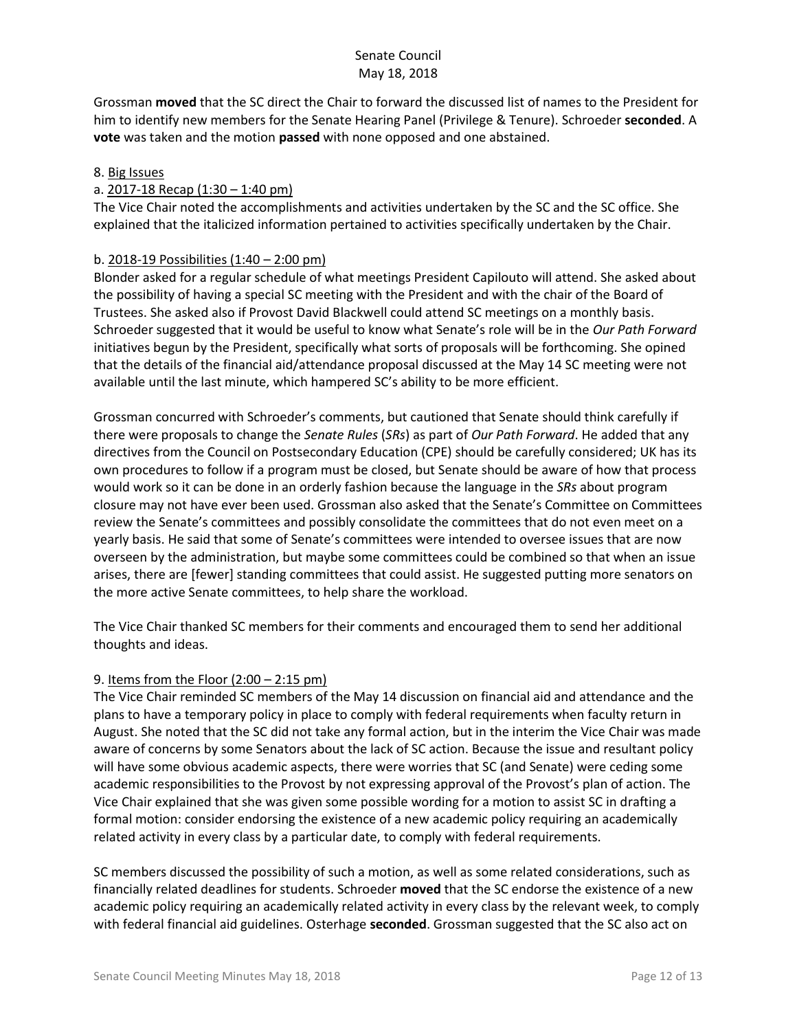Grossman **moved** that the SC direct the Chair to forward the discussed list of names to the President for him to identify new members for the Senate Hearing Panel (Privilege & Tenure). Schroeder **seconded**. A **vote** was taken and the motion **passed** with none opposed and one abstained.

## 8. Big Issues

## a. 2017-18 Recap (1:30 – 1:40 pm)

The Vice Chair noted the accomplishments and activities undertaken by the SC and the SC office. She explained that the italicized information pertained to activities specifically undertaken by the Chair.

## b. 2018-19 Possibilities (1:40 – 2:00 pm)

Blonder asked for a regular schedule of what meetings President Capilouto will attend. She asked about the possibility of having a special SC meeting with the President and with the chair of the Board of Trustees. She asked also if Provost David Blackwell could attend SC meetings on a monthly basis. Schroeder suggested that it would be useful to know what Senate's role will be in the *Our Path Forward* initiatives begun by the President, specifically what sorts of proposals will be forthcoming. She opined that the details of the financial aid/attendance proposal discussed at the May 14 SC meeting were not available until the last minute, which hampered SC's ability to be more efficient.

Grossman concurred with Schroeder's comments, but cautioned that Senate should think carefully if there were proposals to change the *Senate Rules* (*SRs*) as part of *Our Path Forward*. He added that any directives from the Council on Postsecondary Education (CPE) should be carefully considered; UK has its own procedures to follow if a program must be closed, but Senate should be aware of how that process would work so it can be done in an orderly fashion because the language in the *SRs* about program closure may not have ever been used. Grossman also asked that the Senate's Committee on Committees review the Senate's committees and possibly consolidate the committees that do not even meet on a yearly basis. He said that some of Senate's committees were intended to oversee issues that are now overseen by the administration, but maybe some committees could be combined so that when an issue arises, there are [fewer] standing committees that could assist. He suggested putting more senators on the more active Senate committees, to help share the workload.

The Vice Chair thanked SC members for their comments and encouraged them to send her additional thoughts and ideas.

## 9. Items from the Floor (2:00 – 2:15 pm)

The Vice Chair reminded SC members of the May 14 discussion on financial aid and attendance and the plans to have a temporary policy in place to comply with federal requirements when faculty return in August. She noted that the SC did not take any formal action, but in the interim the Vice Chair was made aware of concerns by some Senators about the lack of SC action. Because the issue and resultant policy will have some obvious academic aspects, there were worries that SC (and Senate) were ceding some academic responsibilities to the Provost by not expressing approval of the Provost's plan of action. The Vice Chair explained that she was given some possible wording for a motion to assist SC in drafting a formal motion: consider endorsing the existence of a new academic policy requiring an academically related activity in every class by a particular date, to comply with federal requirements.

SC members discussed the possibility of such a motion, as well as some related considerations, such as financially related deadlines for students. Schroeder **moved** that the SC endorse the existence of a new academic policy requiring an academically related activity in every class by the relevant week, to comply with federal financial aid guidelines. Osterhage **seconded**. Grossman suggested that the SC also act on